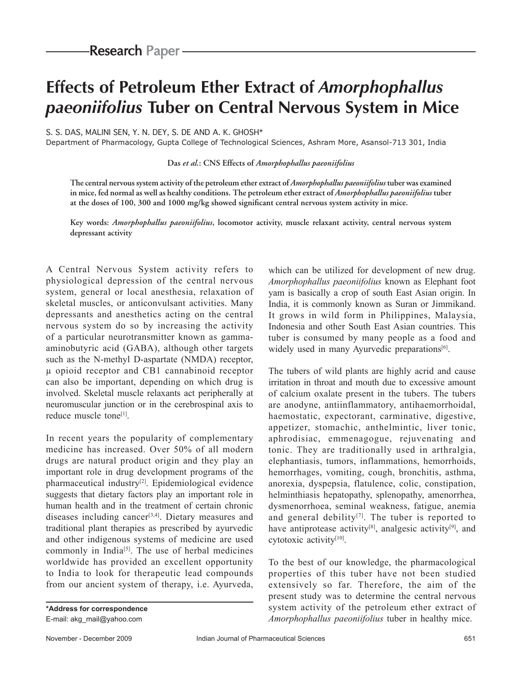# **Effects of Petroleum Ether Extract of** *Amorphophallus paeoniifolius* **Tuber on Central Nervous System in Mice**

S. S. DAS, MALINI SEN, Y. N. DEY, S. DE AND A. K. GHOSH\*

Department of Pharmacology, Gupta College of Technological Sciences, Ashram More, Asansol-713 301, India

**Das** *et al.***: CNS Effects of** *Amorphophallus paeoniifolius*

**The central nervous system activity of the petroleum ether extract of** *Amorphophallus paeoniifolius* **tuber was examined in mice, fed normal as well as healthy conditions. The petroleum ether extract of** *Amorphophallus paeoniifolius* **tuber**  at the doses of 100, 300 and 1000 mg/kg showed significant central nervous system activity in mice.

**Key words:** *Amorphophallus paeoniifolius***, locomotor activity, muscle relaxant activity, central nervous system depressant activity** 

A Central Nervous System activity refers to physiological depression of the central nervous system, general or local anesthesia, relaxation of skeletal muscles, or anticonvulsant activities. Many depressants and anesthetics acting on the central nervous system do so by increasing the activity of a particular neurotransmitter known as gammaaminobutyric acid (GABA), although other targets such as the N-methyl D-aspartate (NMDA) receptor, µ opioid receptor and CB1 cannabinoid receptor can also be important, depending on which drug is involved. Skeletal muscle relaxants act peripherally at neuromuscular junction or in the cerebrospinal axis to reduce muscle tone[1].

In recent years the popularity of complementary medicine has increased. Over 50% of all modern drugs are natural product origin and they play an important role in drug development programs of the pharmaceutical industry[2]. Epidemiological evidence suggests that dietary factors play an important role in human health and in the treatment of certain chronic diseases including cancer<sup>[3,4]</sup>. Dietary measures and traditional plant therapies as prescribed by ayurvedic and other indigenous systems of medicine are used commonly in India<sup>[5]</sup>. The use of herbal medicines worldwide has provided an excellent opportunity to India to look for therapeutic lead compounds from our ancient system of therapy, i.e. Ayurveda,

**\*Address for correspondence** E-mail: akg\_mail@yahoo.com

which can be utilized for development of new drug. *Amorphophallus paeoniifolius* known as Elephant foot yam is basically a crop of south East Asian origin. In India, it is commonly known as Suran or Jimmikand. It grows in wild form in Philippines, Malaysia, Indonesia and other South East Asian countries. This tuber is consumed by many people as a food and widely used in many Ayurvedic preparations<sup>[6]</sup>.

The tubers of wild plants are highly acrid and cause irritation in throat and mouth due to excessive amount of calcium oxalate present in the tubers. The tubers are anodyne, antiinflammatory, antihaemorrhoidal, haemostatic, expectorant, carminative, digestive, appetizer, stomachic, anthelmintic, liver tonic, aphrodisiac, emmenagogue, rejuvenating and tonic. They are traditionally used in arthralgia, elephantiasis, tumors, inflammations, hemorrhoids, hemorrhages, vomiting, cough, bronchitis, asthma, anorexia, dyspepsia, flatulence, colic, constipation, helminthiasis hepatopathy, splenopathy, amenorrhea, dysmenorrhoea, seminal weakness, fatigue, anemia and general debility<sup>[7]</sup>. The tuber is reported to have antiprotease activity<sup>[8]</sup>, analgesic activity<sup>[9]</sup>, and cytotoxic activity[10].

To the best of our knowledge, the pharmacological properties of this tuber have not been studied extensively so far. Therefore, the aim of the present study was to determine the central nervous system activity of the petroleum ether extract of *Amorphophallus paeoniifolius* tuber in healthy mice.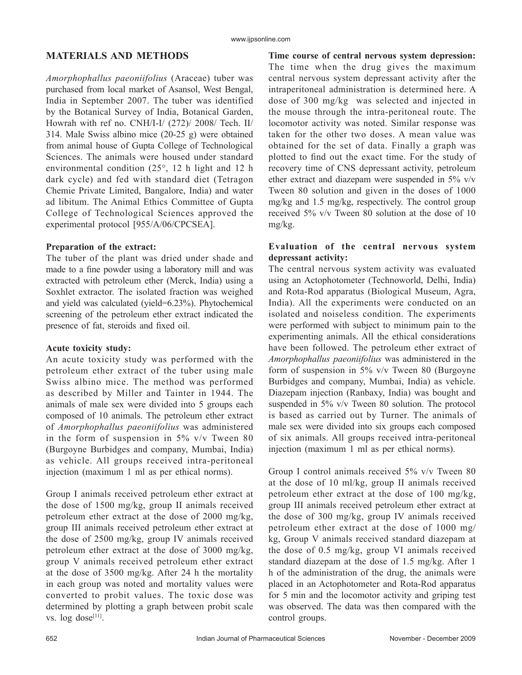# **MATERIALS AND METHODS**

*Amorphophallus paeoniifolius* (Araceae) tuber was purchased from local market of Asansol, West Bengal, India in September 2007. The tuber was identified by the Botanical Survey of India, Botanical Garden, Howrah with ref no. CNH/I-I/ (272)/ 2008/ Tech. II/ 314. Male Swiss albino mice (20-25 g) were obtained from animal house of Gupta College of Technological Sciences. The animals were housed under standard environmental condition (25°, 12 h light and 12 h dark cycle) and fed with standard diet (Tetragon Chemie Private Limited, Bangalore, India) and water ad libitum. The Animal Ethics Committee of Gupta College of Technological Sciences approved the experimental protocol [955/A/06/CPCSEA].

#### **Preparation of the extract:**

The tuber of the plant was dried under shade and made to a fine powder using a laboratory mill and was extracted with petroleum ether (Merck, India) using a Soxhlet extractor. The isolated fraction was weighed and yield was calculated (yield=6.23%). Phytochemical screening of the petroleum ether extract indicated the presence of fat, steroids and fixed oil.

#### **Acute toxicity study:**

An acute toxicity study was performed with the petroleum ether extract of the tuber using male Swiss albino mice. The method was performed as described by Miller and Tainter in 1944. The animals of male sex were divided into 5 groups each composed of 10 animals. The petroleum ether extract of *Amorphophallus paeoniifolius* was administered in the form of suspension in  $5\%$  v/v Tween 80 (Burgoyne Burbidges and company, Mumbai, India) as vehicle. All groups received intra-peritoneal injection (maximum 1 ml as per ethical norms).

Group I animals received petroleum ether extract at the dose of 1500 mg/kg, group II animals received petroleum ether extract at the dose of 2000 mg/kg, group III animals received petroleum ether extract at the dose of 2500 mg/kg, group IV animals received petroleum ether extract at the dose of 3000 mg/kg, group V animals received petroleum ether extract at the dose of 3500 mg/kg. After 24 h the mortality in each group was noted and mortality values were converted to probit values. The toxic dose was determined by plotting a graph between probit scale vs.  $log$  dose<sup>[11]</sup>.

**Time course of central nervous system depression:** The time when the drug gives the maximum central nervous system depressant activity after the intraperitoneal administration is determined here. A dose of 300 mg/kg was selected and injected in the mouse through the intra-peritoneal route. The locomotor activity was noted. Similar response was taken for the other two doses. A mean value was obtained for the set of data. Finally a graph was plotted to find out the exact time. For the study of recovery time of CNS depressant activity, petroleum ether extract and diazepam were suspended in 5% v/v Tween 80 solution and given in the doses of 1000 mg/kg and 1.5 mg/kg, respectively. The control group received 5% v/v Tween 80 solution at the dose of 10 mg/kg.

### **Evaluation of the central nervous system depressant activity:**

The central nervous system activity was evaluated using an Actophotometer (Technoworld, Delhi, India) and Rota-Rod apparatus (Biological Museum, Agra, India). All the experiments were conducted on an isolated and noiseless condition. The experiments were performed with subject to minimum pain to the experimenting animals. All the ethical considerations have been followed. The petroleum ether extract of *Amorphophallus paeoniifolius* was administered in the form of suspension in 5% v/v Tween 80 (Burgoyne Burbidges and company, Mumbai, India) as vehicle. Diazepam injection (Ranbaxy, India) was bought and suspended in 5% v/v Tween 80 solution. The protocol is based as carried out by Turner. The animals of male sex were divided into six groups each composed of six animals. All groups received intra-peritoneal injection (maximum 1 ml as per ethical norms).

Group I control animals received 5% v/v Tween 80 at the dose of 10 ml/kg, group II animals received petroleum ether extract at the dose of 100 mg/kg, group III animals received petroleum ether extract at the dose of 300 mg/kg, group IV animals received petroleum ether extract at the dose of 1000 mg/ kg, Group V animals received standard diazepam at the dose of 0.5 mg/kg, group VI animals received standard diazepam at the dose of 1.5 mg/kg. After 1 h of the administration of the drug, the animals were placed in an Actophotometer and Rota-Rod apparatus for 5 min and the locomotor activity and griping test was observed. The data was then compared with the control groups.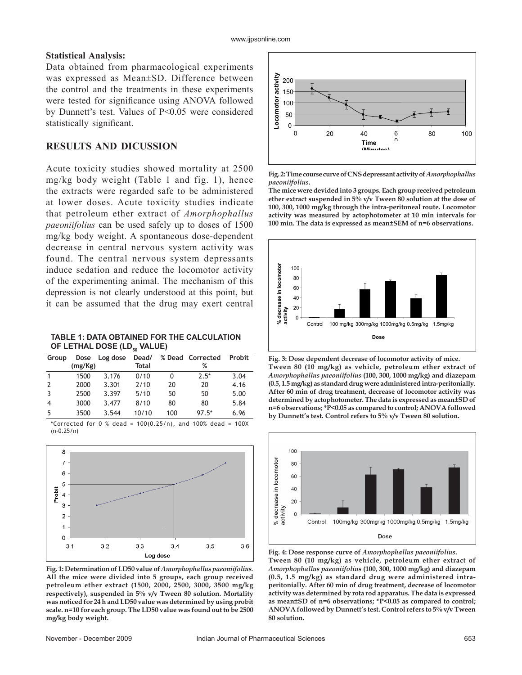#### **Statistical Analysis:**

Data obtained from pharmacological experiments was expressed as Mean±SD. Difference between the control and the treatments in these experiments were tested for significance using ANOVA followed by Dunnett's test. Values of P<0.05 were considered statistically significant.

# **RESULTS AND DICUSSION**

Acute toxicity studies showed mortality at 2500 mg/kg body weight (Table 1 and fig. 1), hence the extracts were regarded safe to be administered at lower doses. Acute toxicity studies indicate that petroleum ether extract of *Amorphophallus paeoniifolius* can be used safely up to doses of 1500 mg/kg body weight. A spontaneous dose-dependent decrease in central nervous system activity was found. The central nervous system depressants induce sedation and reduce the locomotor activity of the experimenting animal. The mechanism of this depression is not clearly understood at this point, but it can be assumed that the drug may exert central

**TABLE 1: DATA OBTAINED FOR THE CALCULATION OF LETHAL DOSE (LD., VALUE)** 

|                |         |               | IJU.         |     |                  |               |
|----------------|---------|---------------|--------------|-----|------------------|---------------|
| Group          |         | Dose Log dose | Dead/        |     | % Dead Corrected | <b>Probit</b> |
|                | (mg/Kg) |               | <b>Total</b> |     | %                |               |
| $\mathbf{1}$   | 1500    | 3.176         | 0/10         | 0   | $7.5*$           | 3.04          |
| 2              | 2000    | 3.301         | 2/10         | 20  | 20               | 4.16          |
| 3              | 2500    | 3.397         | 5/10         | 50  | 50               | 5.00          |
| $\overline{4}$ | 3000    | 3.477         | 8/10         | 80  | 80               | 5.84          |
| -5             | 3500    | 3.544         | 10/10        | 100 | $97.5*$          | 6.96          |

\*Corrected for  $0 \frac{9}{2}$  dead = 100(0.25/n), and 100% dead = 100X (n-0.25/n)



**Fig. 1: Determination of LD50 value of** *Amorphophallus paeoniifolius.* **All the mice were divided into 5 groups, each group received petroleum ether extract (1500, 2000, 2500, 3000, 3500 mg/kg respectively), suspended in 5% v/v Tween 80 solution. Mortality was noticed for 24 h and LD50 value was determined by using probit scale. n=10 for each group. The LD50 value was found out to be 2500 mg/kg body weight.** 



**Fig. 2: Time course curve of CNS depressant activity of** *Amorphophallus paeoniifolius***.**

**The mice were devided into 3 groups. Each group received petroleum ether extract suspended in 5% v/v Tween 80 solution at the dose of 100, 300, 1000 mg/kg through the intra-peritoneal route. Locomotor activity was measured by actophotometer at 10 min intervals for 100 min. The data is expressed as mean±SEM of n=6 observations.**



**Fig. 3: Dose dependent decrease of locomotor activity of mice. Tween 80 (10 mg/kg) as vehicle, petroleum ether extract of**  *Amorphophallus paeoniifolius* **(100, 300, 1000 mg/kg) and diazepam (0.5, 1.5 mg/kg) as standard drug were administered intra-peritonially. After 60 min of drug treatment, decrease of locomotor activity was determined by actophotometer. The data is expressed as mean±SD of n=6 observations; \*P<0.05 as compared to control; ANOVA followed by Dunnett's test. Control refers to 5% v/v Tween 80 solution.** 



**Fig. 4: Dose response curve of** *Amorphophallus paeoniifolius***. Tween 80 (10 mg/kg) as vehicle, petroleum ether extract of**  *Amorphophallus paeoniifolius* **(100, 300, 1000 mg/kg) and diazepam (0.5, 1.5 mg/kg) as standard drug were administered intraperitonially. After 60 min of drug treatment, decrease of locomotor activity was determined by rota rod apparatus. The data is expressed as mean±SD of n=6 observations; \*P<0.05 as compared to control; ANOVA followed by Dunnett's test. Control refers to 5% v/v Tween 80 solution.**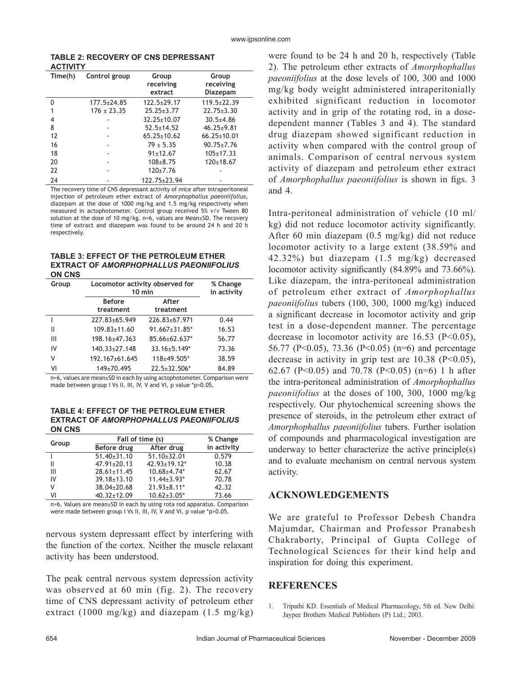| <b>TABLE 2: RECOVERY OF CNS DEPRESSANT</b> |  |  |
|--------------------------------------------|--|--|
| <b>ACTIVITY</b>                            |  |  |

| Time(h) | Control group     | Group<br>receiving<br>extract | Group<br>receiving<br>Diazepam |
|---------|-------------------|-------------------------------|--------------------------------|
| N       | $177.5 \pm 24.85$ | $122.5 \pm 29.17$             | $119.5 \pm 22.39$              |
|         | $176 \pm 23.35$   | $25.25 \pm 3.77$              | $22.75 \pm 3.30$               |
| 4       | ۰                 | $32.25 \pm 10.07$             | $30.5 + 4.86$                  |
| 8       |                   | $52.5 \pm 14.52$              | $46.25 \pm 9.81$               |
| 12      |                   | $65.25 \pm 10.62$             | $66.25 \pm 10.01$              |
| 16      |                   | $79 + 5.35$                   | $90.75 \pm 7.76$               |
| 18      |                   | $91 \pm 12.67$                | $105 \pm 17.33$                |
| 20      |                   | $108 + 8.75$                  | 120±18.67                      |
| 22      |                   | $120+7.76$                    |                                |
| 24      |                   | 122.75+23.94                  |                                |

The recovery time of CNS depressant activity of mice after intraperitoneal injection of petroleum ether extract of *Amorphophallus paeoniifolius*, diazepam at the dose of 1000 mg/kg and 1.5 mg/kg respectively when measured in actophotometer. Control group received 5% v/v Tween 80 solution at the dose of 10 mg/kg. n=6, values are Mean±SD. The recovery time of extract and diazepam was found to be around 24 h and 20 h respectively.

#### **TABLE 3: EFFECT OF THE PETROLEUM ETHER EXTRACT OF** *AMORPHOPHALLUS PAEONIIFOLIUS* **ON CNS**

| Group | Locomotor activity observed for<br>$10$ min | % Change<br>in activity         |       |
|-------|---------------------------------------------|---------------------------------|-------|
|       | <b>Before</b>                               | After                           |       |
|       | treatment                                   | treatment                       |       |
|       | $227.83 + 65.949$                           | 226.83±67.971                   | 0.44  |
| Ш     | $109.83 \pm 11.60$                          | $91.667 \pm 31.85$ <sup>*</sup> | 16.53 |
| Ш     | 198.16±47.363                               | 85.66±62.637*                   | 56.77 |
| IV    | $140.33 \pm 27.148$                         | $33.16 \pm 5.149*$              | 73.36 |
| ٧     | 192.167±61.645                              | 118±49.505*                     | 38.59 |
| ٧I    | 149±70.495                                  | $22.5 \pm 32.506*$              | 84.89 |

n=6, values are mean±SD in each by using actophotometer. Comparison were made between group I Vs II, III, IV, V and VI, p value \*p>0.05.

#### **TABLE 4: EFFECT OF THE PETROLEUM ETHER EXTRACT OF** *AMORPHOPHALLUS PAEONIIFOLIUS* **ON CNS**

| Group |                   | Fall of time (s)    | % Change    |  |
|-------|-------------------|---------------------|-------------|--|
|       | Before drug       | After drug          | in activity |  |
|       | $51.40 \pm 31.10$ | $51.10 \pm 32.01$   | 0.579       |  |
| Ш     | $47.91 \pm 20.13$ | $42.93 \pm 19.12$ * | 10.38       |  |
| Ш     | $28.61 \pm 11.45$ | $10.68 + 4.74*$     | 62.67       |  |
| IV    | $39.18 \pm 13.10$ | $11.44 \pm 3.93*$   | 70.78       |  |
| ٧     | 38.04±20.68       | $21.93 \pm 8.11$ *  | 42.32       |  |
| ٧I    | $40.32 \pm 12.09$ | $10.62 \pm 3.05^*$  | 73.66       |  |

n=6, Values are mean±SD in each by using rota rod apparatus. Comparison were made between group I Vs II, III, IV, V and VI, p value \*p>0.05.

nervous system depressant effect by interfering with the function of the cortex. Neither the muscle relaxant activity has been understood.

The peak central nervous system depression activity was observed at 60 min (fig. 2). The recovery time of CNS depressant activity of petroleum ether extract (1000 mg/kg) and diazepam  $(1.5 \text{ mg/kg})$  were found to be 24 h and 20 h, respectively (Table 2). The petroleum ether extracts of *Amorphophallus paeoniifolius* at the dose levels of 100, 300 and 1000 mg/kg body weight administered intraperitonially exhibited significant reduction in locomotor activity and in grip of the rotating rod, in a dosedependent manner (Tables 3 and 4). The standard drug diazepam showed significant reduction in activity when compared with the control group of animals. Comparison of central nervous system activity of diazepam and petroleum ether extract of *Amorphophallus paeoniifolius* is shown in figs. 3 and 4.

Intra-peritoneal administration of vehicle (10 ml/ kg) did not reduce locomotor activity significantly. After 60 min diazepam (0.5 mg/kg) did not reduce locomotor activity to a large extent (38.59% and 42.32%) but diazepam (1.5 mg/kg) decreased locomotor activity significantly  $(84.89\%$  and  $73.66\%$ ). Like diazepam, the intra-peritoneal administration of petroleum ether extract of *Amorphophallus paeoniifolius* tubers (100, 300, 1000 mg/kg) induced a significant decrease in locomotor activity and grip test in a dose-dependent manner. The percentage decrease in locomotor activity are  $16.53$  (P<0.05), 56.77 (P<0.05), 73.36 (P<0.05) (n=6) and percentage decrease in activity in grip test are  $10.38$  (P<0.05), 62.67 (P<0.05) and 70.78 (P<0.05) (n=6) 1 h after the intra-peritoneal administration of *Amorphophallus paeoniifolius* at the doses of 100, 300, 1000 mg/kg respectively. Our phytochemical screening shows the presence of steroids, in the petroleum ether extract of *Amorphophallus paeoniifolius* tubers. Further isolation of compounds and pharmacological investigation are underway to better characterize the active principle(s) and to evaluate mechanism on central nervous system activity.

# **ACKNOWLEDGEMENTS**

We are grateful to Professor Debesh Chandra Majumdar, Chairman and Professor Pranabesh Chakraborty, Principal of Gupta College of Technological Sciences for their kind help and inspiration for doing this experiment.

# **REFERENCES**

1. Tripathi KD. Essentials of Medical Pharmacology, 5th ed. New Delhi: Jaypee Brothers Medical Publishers (P) Ltd.; 2003.